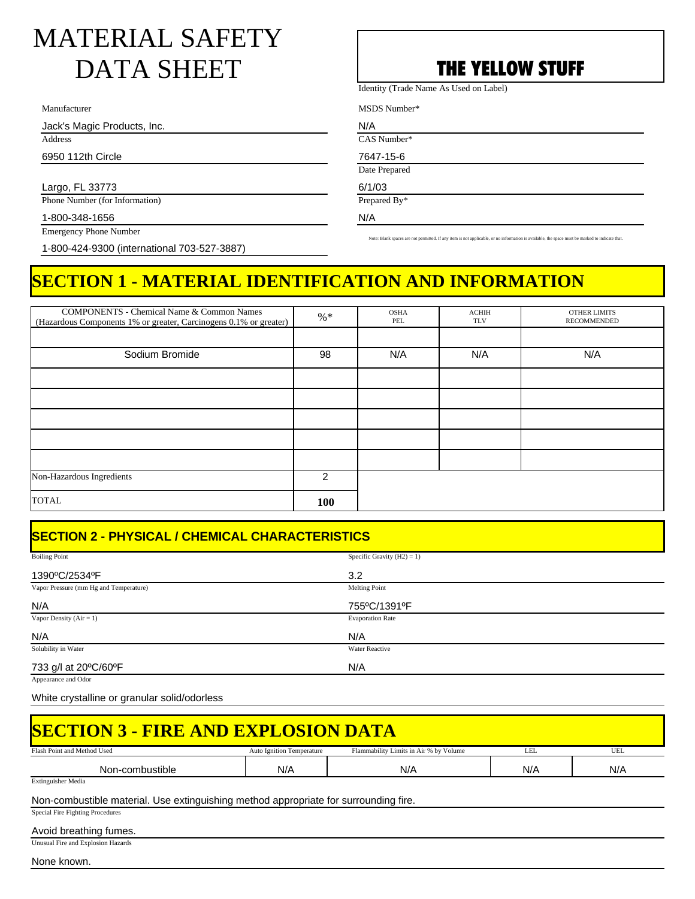# MATERIAL SAFETY DATA SHEET **THE YELLOW STUFF**

Manufacturer

Jack's Magic Products, Inc.

Address

6950 112th Circle

Largo, FL 33773

Phone Number (for Information)

1-800-348-1656 Emergency Phone Number

1-800-424-9300 (international 703-527-3887)

Identity (Trade Name As Used on Label)

MSDS Number\*

N/A CAS Number\*

7647-15-6

Date Prepared

6/1/03 Prepared By\*

N/A

Note: Blank spaces are not permitted. If any item is not applicable, or no information is available, the space must be marked to indicate that.

## **SECTION 1 - MATERIAL IDENTIFICATION AND INFORMATION**

| <b>COMPONENTS - Chemical Name &amp; Common Names</b>              | $%$ * | <b>OSHA</b><br>PEL | <b>ACHIH</b><br><b>TLV</b> | <b>OTHER LIMITS</b><br><b>RECOMMENDED</b> |
|-------------------------------------------------------------------|-------|--------------------|----------------------------|-------------------------------------------|
| (Hazardous Components 1% or greater, Carcinogens 0.1% or greater) |       |                    |                            |                                           |
|                                                                   |       |                    |                            |                                           |
| Sodium Bromide                                                    | 98    | N/A                | N/A                        | N/A                                       |
|                                                                   |       |                    |                            |                                           |
|                                                                   |       |                    |                            |                                           |
|                                                                   |       |                    |                            |                                           |
|                                                                   |       |                    |                            |                                           |
|                                                                   |       |                    |                            |                                           |
| Non-Hazardous Ingredients                                         | 2     |                    |                            |                                           |
| <b>TOTAL</b>                                                      | 100   |                    |                            |                                           |

## **SECTION 2 - PHYSICAL / CHEMICAL CHARACTERISTICS**

| <b>Boiling Point</b>                   | Specific Gravity $(H2) = 1$ ) |
|----------------------------------------|-------------------------------|
| 1390°C/2534°F                          | 3.2                           |
| Vapor Pressure (mm Hg and Temperature) | Melting Point                 |
| N/A                                    | 755°C/1391°F                  |
| Vapor Density $(Air = 1)$              | <b>Evaporation Rate</b>       |
| N/A                                    | N/A                           |
| Solubility in Water                    | Water Reactive                |
| 733 g/l at 20°C/60°F                   | N/A                           |

Appearance and Odor

White crystalline or granular solid/odorless

| <b>SECTION 3 - FIRE AND EXPLOSION DATA</b>                                           |     |     |     |     |  |  |  |
|--------------------------------------------------------------------------------------|-----|-----|-----|-----|--|--|--|
|                                                                                      |     |     |     |     |  |  |  |
| Non-combustible                                                                      | N/A | N/A | N/A | N/A |  |  |  |
| <b>Extinguisher Media</b>                                                            |     |     |     |     |  |  |  |
| Non-combustible material. Use extinguishing method appropriate for surrounding fire. |     |     |     |     |  |  |  |
| Special Fire Fighting Procedures                                                     |     |     |     |     |  |  |  |
| Avoid brootbing fronce                                                               |     |     |     |     |  |  |  |

Avoid breathing fumes.

Unusual Fire and Explosion Hazards

None known.